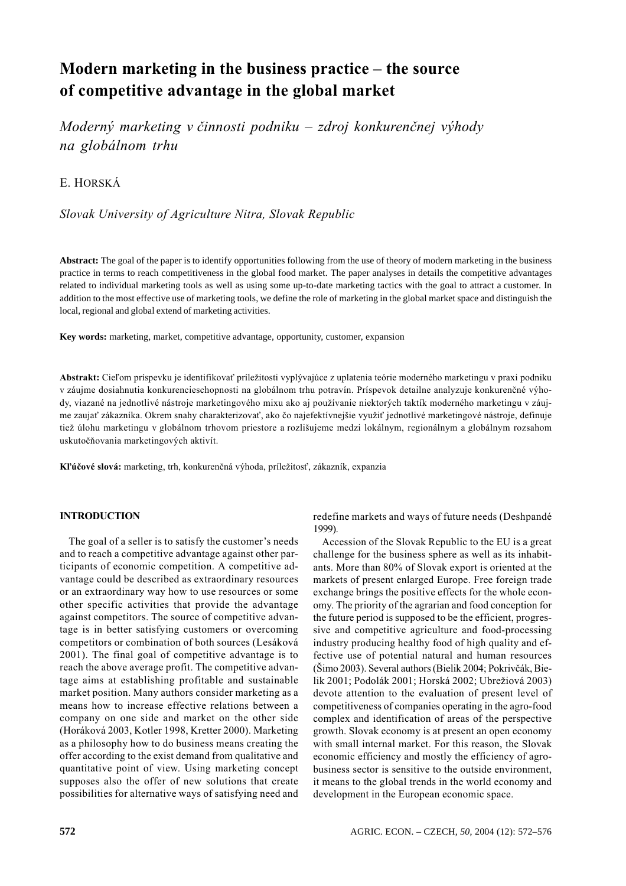# Modern marketing in the business practice – the source of competitive advantage in the global market

Moderný marketing v činnosti podniku – zdroj konkurenčnej výhody na globálnom trhu

# E. HORSKÁ

Slovak University of Agriculture Nitra, Slovak Republic

**Abstract:** The goal of the paper is to identify opportunities following from the use of theory of modern marketing in the business practice in terms to reach competitiveness in the global food market. The paper analyses in details the competitive advantages related to individual marketing tools as well as using some up-to-date marketing tactics with the goal to attract a customer. In addition to the most effective use of marketing tools, we define the role of marketing in the global market space and distinguish the local, regional and global extend of marketing activities.

**Key words:** marketing, market, competitive advantage, opportunity, customer, expansion

Abstrakt: Cieľom príspevku je identifikovať príležitosti vyplývajúce z uplatenia teórie moderného marketingu v praxi podniku v záujme dosiahnutia konkurencieschopnosti na globálnom trhu potravín. Príspevok detailne analyzuje konkurenčné výhody, viazané na jednotlivé nástroje marketingového mixu ako aj používanie niektorých taktík moderného marketingu v záujme zaujať zákazníka. Okrem snahy charakterizovať, ako čo najefektívnejšie využiť jednotlivé marketingové nástroje, definuje tiež úlohu marketingu v globálnom trhovom priestore a rozlišujeme medzi lokálnym, regionálnym a globálnym rozsahom uskutočňovania marketingových aktivít.

Kľúčové slová: marketing, trh, konkurenčná výhoda, príležitosť, zákazník, expanzia

#### **INTRODUCTION**

The goal of a seller is to satisfy the customer's needs and to reach a competitive advantage against other participants of economic competition. A competitive advantage could be described as extraordinary resources or an extraordinary way how to use resources or some other specific activities that provide the advantage against competitors. The source of competitive advantage is in better satisfying customers or overcoming competitors or combination of both sources (Lesáková 2001). The final goal of competitive advantage is to reach the above average profit. The competitive advantage aims at establishing profitable and sustainable market position. Many authors consider marketing as a means how to increase effective relations between a company on one side and market on the other side (Horáková 2003, Kotler 1998, Kretter 2000). Marketing as a philosophy how to do business means creating the offer according to the exist demand from qualitative and quantitative point of view. Using marketing concept supposes also the offer of new solutions that create possibilities for alternative ways of satisfying need and

redefine markets and ways of future needs (Deshpandé 1999).

Accession of the Slovak Republic to the EU is a great challenge for the business sphere as well as its inhabitants. More than 80% of Slovak export is oriented at the markets of present enlarged Europe. Free foreign trade exchange brings the positive effects for the whole economy. The priority of the agrarian and food conception for the future period is supposed to be the efficient, progressive and competitive agriculture and food-processing industry producing healthy food of high quality and effective use of potential natural and human resources (Šimo 2003). Several authors (Bielik 2004; Pokrivčák, Bielik 2001; Podolák 2001; Horská 2002; Ubrežiová 2003) devote attention to the evaluation of present level of competitiveness of companies operating in the agro-food complex and identification of areas of the perspective growth. Slovak economy is at present an open economy with small internal market. For this reason, the Slovak economic efficiency and mostly the efficiency of agrobusiness sector is sensitive to the outside environment, it means to the global trends in the world economy and development in the European economic space.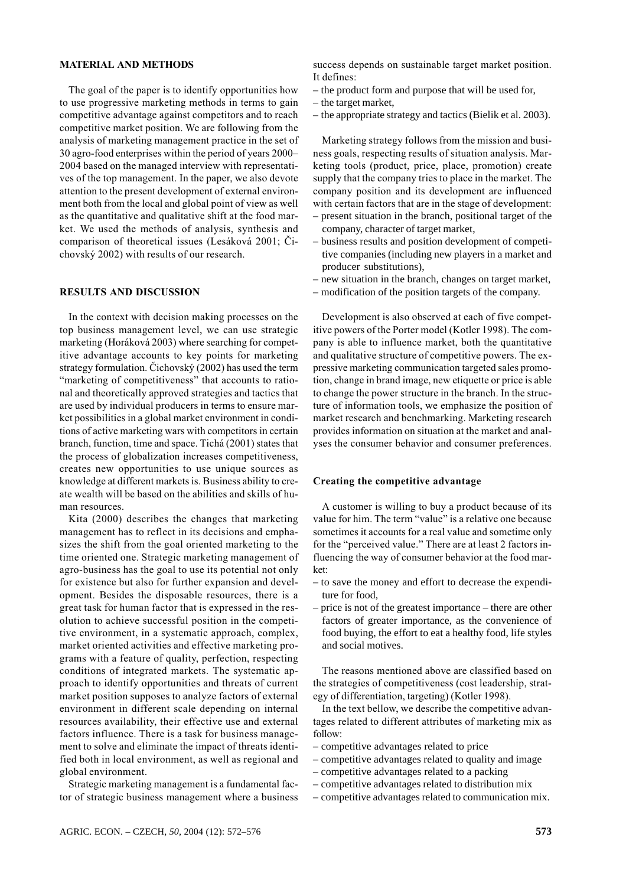#### MATERIAL AND METHODS

The goal of the paper is to identify opportunities how to use progressive marketing methods in terms to gain competitive advantage against competitors and to reach competitive market position. We are following from the analysis of marketing management practice in the set of 30 agro-food enterprises within the period of years 2000– 2004 based on the managed interview with representatives of the top management. In the paper, we also devote attention to the present development of external environment both from the local and global point of view as well as the quantitative and qualitative shift at the food market. We used the methods of analysis, synthesis and comparison of theoretical issues (Lesáková 2001; Čichovský 2002) with results of our research.

#### RESULTS AND DISCUSSION

In the context with decision making processes on the top business management level, we can use strategic marketing (Horáková 2003) where searching for competitive advantage accounts to key points for marketing strategy formulation. Čichovský (2002) has used the term "marketing of competitiveness" that accounts to rational and theoretically approved strategies and tactics that are used by individual producers in terms to ensure market possibilities in a global market environment in conditions of active marketing wars with competitors in certain branch, function, time and space. Tichá (2001) states that the process of globalization increases competitiveness, creates new opportunities to use unique sources as knowledge at different markets is. Business ability to create wealth will be based on the abilities and skills of human resources.

Kita (2000) describes the changes that marketing management has to reflect in its decisions and emphasizes the shift from the goal oriented marketing to the time oriented one. Strategic marketing management of agro-business has the goal to use its potential not only for existence but also for further expansion and development. Besides the disposable resources, there is a great task for human factor that is expressed in the resolution to achieve successful position in the competitive environment, in a systematic approach, complex, market oriented activities and effective marketing programs with a feature of quality, perfection, respecting conditions of integrated markets. The systematic approach to identify opportunities and threats of current market position supposes to analyze factors of external environment in different scale depending on internal resources availability, their effective use and external factors influence. There is a task for business management to solve and eliminate the impact of threats identified both in local environment, as well as regional and global environment.

Strategic marketing management is a fundamental factor of strategic business management where a business success depends on sustainable target market position. It defines:

- the product form and purpose that will be used for,
- the target market,
- the appropriate strategy and tactics (Bielik et al. 2003).

Marketing strategy follows from the mission and business goals, respecting results of situation analysis. Marketing tools (product, price, place, promotion) create supply that the company tries to place in the market. The company position and its development are influenced with certain factors that are in the stage of development: – present situation in the branch, positional target of the

- company, character of target market,
- business results and position development of competitive companies (including new players in a market and producer substitutions),
- new situation in the branch, changes on target market,
- modification of the position targets of the company.

Development is also observed at each of five competitive powers of the Porter model (Kotler 1998). The company is able to influence market, both the quantitative and qualitative structure of competitive powers. The expressive marketing communication targeted sales promotion, change in brand image, new etiquette or price is able to change the power structure in the branch. In the structure of information tools, we emphasize the position of market research and benchmarking. Marketing research provides information on situation at the market and analyses the consumer behavior and consumer preferences.

#### Creating the competitive advantage

A customer is willing to buy a product because of its value for him. The term "value" is a relative one because sometimes it accounts for a real value and sometime only for the "perceived value." There are at least 2 factors influencing the way of consumer behavior at the food market:

- to save the money and effort to decrease the expenditure for food,
- price is not of the greatest importance there are other factors of greater importance, as the convenience of food buying, the effort to eat a healthy food, life styles and social motives.

The reasons mentioned above are classified based on the strategies of competitiveness (cost leadership, strategy of differentiation, targeting) (Kotler 1998).

In the text bellow, we describe the competitive advantages related to different attributes of marketing mix as  $f_0$ llow

- competitive advantages related to price
- competitive advantages related to quality and image
- competitive advantages related to a packing
- competitive advantages related to distribution mix
- competitive advantages related to communication mix.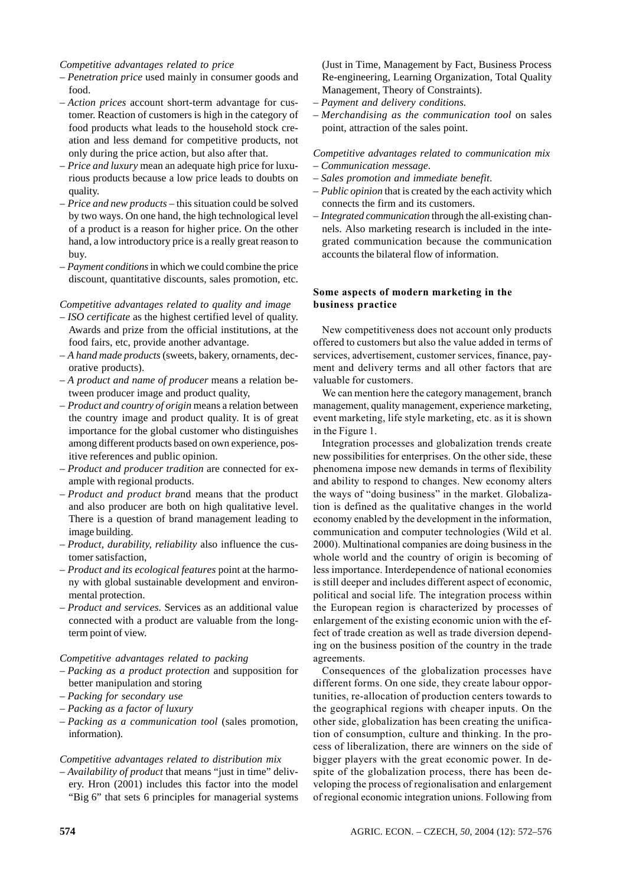# *Competitive advantages related to price*

- *Penetration price* used mainly in consumer goods and food.
- *Action prices* account short-term advantage for customer. Reaction of customers is high in the category of food products what leads to the household stock creation and less demand for competitive products, not only during the price action, but also after that.
- *Price and luxury* mean an adequate high price for luxurious products because a low price leads to doubts on quality.
- *Price and new products* this situation could be solved by two ways. On one hand, the high technological level of a product is a reason for higher price. On the other hand, a low introductory price is a really great reason to buy.
- *Payment conditions* in which we could combine the price discount, quantitative discounts, sales promotion, etc.

*Competitive advantages related to quality and image*

- *ISO certificate* as the highest certified level of quality. Awards and prize from the official institutions, at the food fairs, etc, provide another advantage.
- *A hand made products* (sweets, bakery, ornaments, decorative products).
- *A product and name of producer* means a relation between producer image and product quality,
- *Product and country of origin* means a relation between the country image and product quality. It is of great importance for the global customer who distinguishes among different products based on own experience, positive references and public opinion.
- *Product and producer tradition* are connected for example with regional products.
- *Product and product bra*nd means that the product and also producer are both on high qualitative level. There is a question of brand management leading to image building.
- *Product, durability, reliability* also influence the customer satisfaction,
- *Product and its ecological features* point at the harmony with global sustainable development and environmental protection.
- *Product and services*. Services as an additional value connected with a product are valuable from the longterm point of view.

# *Competitive advantages related to packing*

- *Packing as a product protection* and supposition for better manipulation and storing
- *Packing for secondary use*
- *Packing as a factor of luxury*
- *Packing as a communication tool* (sales promotion, information).

# *Competitive advantages related to distribution mix*

– *Availability of product* that means "just in time" delivery. Hron (2001) includes this factor into the model "Big 6" that sets 6 principles for managerial systems (Just in Time, Management by Fact, Business Process Re-engineering, Learning Organization, Total Quality Management, Theory of Constraints).

- *Payment and delivery conditions.*
- *Merchandising as the communication tool* on sales point, attraction of the sales point.

*Competitive advantages related to communication mix*

- *Communication message*.
- *Sales promotion and immediate benefit*.
- *Public opinion* that is created by the each activity which connects the firm and its customers.
- *Integrated communication* through the all-existing channels. Also marketing research is included in the integrated communication because the communication accounts the bilateral flow of information.

# Some aspects of modern marketing in the business practice

New competitiveness does not account only products offered to customers but also the value added in terms of services, advertisement, customer services, finance, payment and delivery terms and all other factors that are valuable for customers.

We can mention here the category management, branch management, quality management, experience marketing, event marketing, life style marketing, etc. as it is shown in the Figure 1.

Integration processes and globalization trends create new possibilities for enterprises. On the other side, these phenomena impose new demands in terms of flexibility and ability to respond to changes. New economy alters the ways of "doing business" in the market. Globalization is defined as the qualitative changes in the world economy enabled by the development in the information, communication and computer technologies (Wild et al. 2000). Multinational companies are doing business in the whole world and the country of origin is becoming of less importance. Interdependence of national economies is still deeper and includes different aspect of economic, political and social life. The integration process within the European region is characterized by processes of enlargement of the existing economic union with the effect of trade creation as well as trade diversion depending on the business position of the country in the trade agreements.

Consequences of the globalization processes have different forms. On one side, they create labour opportunities, re-allocation of production centers towards to the geographical regions with cheaper inputs. On the other side, globalization has been creating the unification of consumption, culture and thinking. In the process of liberalization, there are winners on the side of bigger players with the great economic power. In despite of the globalization process, there has been developing the process of regionalisation and enlargement of regional economic integration unions. Following from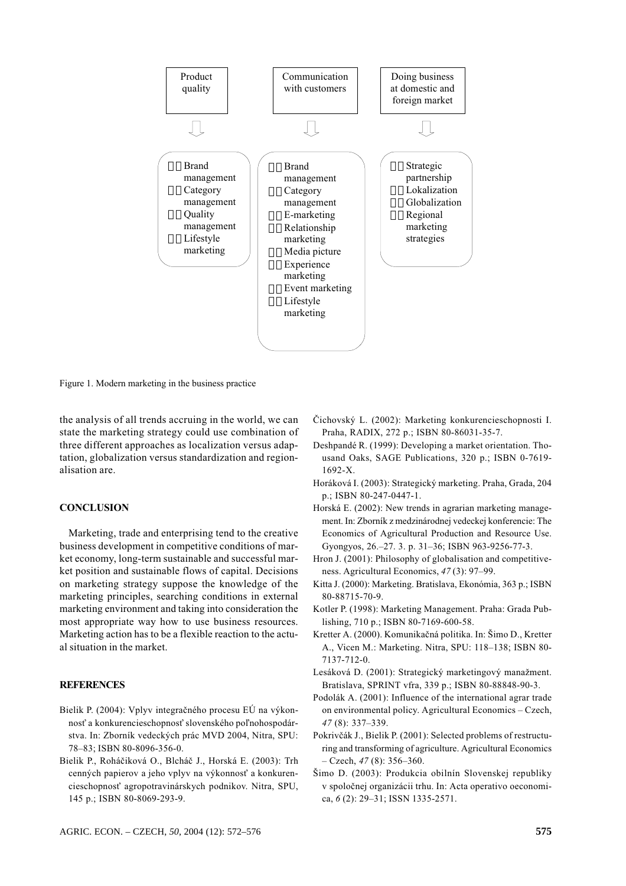

Figure 1. Modern marketing in the business practice

the analysis of all trends accruing in the world, we can state the marketing strategy could use combination of three different approaches as localization versus adaptation, globalization versus standardization and regionalisation are.

#### **CONCLUSION**

Marketing, trade and enterprising tend to the creative business development in competitive conditions of market economy, long-term sustainable and successful market position and sustainable flows of capital. Decisions on marketing strategy suppose the knowledge of the marketing principles, searching conditions in external marketing environment and taking into consideration the most appropriate way how to use business resources. Marketing action has to be a flexible reaction to the actual situation in the market.

### **REFERENCES**

- Bielik P. (2004): Vplyv integračného procesu EÚ na výkonnosť a konkurencieschopnosť slovenského poľnohospodárstva. In: Zborník vedeckých prác MVD 2004. Nitra. SPU: 78-83: ISBN 80-8096-356-0.
- Bielik P., Roháčiková O., Blcháč J., Horská E. (2003): Trh cenných papierov a jeho vplyv na výkonnosť a konkurencieschopnosť agropotravinárskych podnikov. Nitra, SPU, 145 p.; ISBN 80-8069-293-9.
- Čichovský L. (2002): Marketing konkurencieschopnosti I. Praha, RADIX, 272 p.; ISBN 80-86031-35-7.
- Deshpandé R. (1999): Developing a market orientation. Thousand Oaks, SAGE Publications, 320 p.: ISBN 0-7619- $1692 - X$
- Horáková I. (2003): Strategický marketing. Praha, Grada, 204 p.; ISBN 80-247-0447-1.
- Horská E. (2002): New trends in agrarian marketing management. In: Zborník z medzinárodnej vedeckej konferencie: The Economics of Agricultural Production and Resource Use. Gyongyos, 26.–27. 3. p. 31–36; ISBN 963-9256-77-3.
- Hron J. (2001): Philosophy of globalisation and competitiveness. Agricultural Economics, 47(3): 97–99.
- Kitta J. (2000): Marketing. Bratislava, Ekonómia, 363 p.: ISBN 80-88715-70-9.
- Kotler P. (1998): Marketing Management. Praha: Grada Publishing, 710 p.; ISBN 80-7169-600-58.
- Kretter A. (2000). Komunikačná politika. In: Šimo D., Kretter A., Vicen M.: Marketing, Nitra, SPU: 118-138: ISBN 80- $7137 - 712 - 0$
- Lesáková D. (2001): Strategický marketingový manažment. Bratislava, SPRINT vfra, 339 p.; ISBN 80-88848-90-3.
- Podolák A. (2001): Influence of the international agrar trade on environmental policy. Agricultural Economics – Czech, 47 (8): 337-339.
- Pokrivčák J., Bielik P. (2001): Selected problems of restructuring and transforming of agriculture. Agricultural Economics  $-Czech, 47(8): 356-360.$
- Šimo D. (2003): Produkcia obilnín Slovenskej republiky v spoločnej organizácii trhu. In: Acta operativo oeconomica, 6(2): 29-31; ISSN 1335-2571.